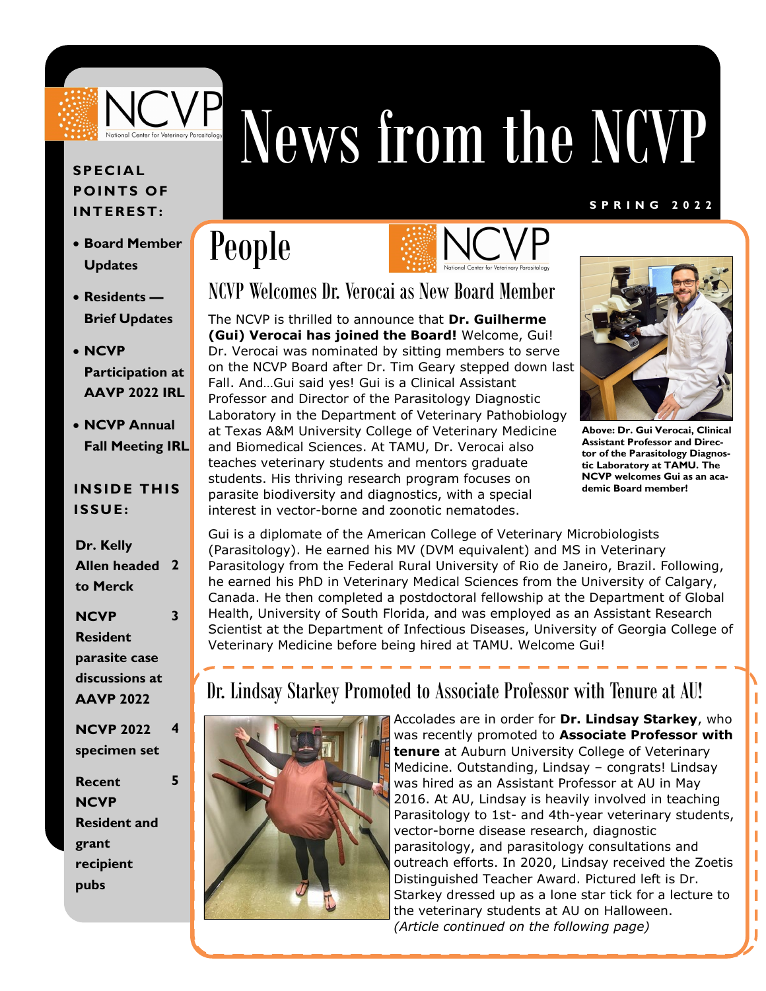

# News from the NCVP

#### **S P R I N G 2 0 2 2**

# People



## NCVP Welcomes Dr. Verocai as New Board Member

The NCVP is thrilled to announce that **Dr. Guilherme (Gui) Verocai has joined the Board!** Welcome, Gui! Dr. Verocai was nominated by sitting members to serve on the NCVP Board after Dr. Tim Geary stepped down last Fall. And…Gui said yes! Gui is a Clinical Assistant Professor and Director of the Parasitology Diagnostic Laboratory in the Department of Veterinary Pathobiology at Texas A&M University College of Veterinary Medicine and Biomedical Sciences. At TAMU, Dr. Verocai also teaches veterinary students and mentors graduate students. His thriving research program focuses on parasite biodiversity and diagnostics, with a special interest in vector-borne and zoonotic nematodes.



**Above: Dr. Gui Verocai, Clinical Assistant Professor and Director of the Parasitology Diagnostic Laboratory at TAMU. The NCVP welcomes Gui as an academic Board member!**

Ï Ï I ı Ï

ī ı

Gui is a diplomate of the American College of Veterinary Microbiologists (Parasitology). He earned his MV (DVM equivalent) and MS in Veterinary Parasitology from the Federal Rural University of Rio de Janeiro, Brazil. Following, he earned his PhD in Veterinary Medical Sciences from the University of Calgary, Canada. He then completed a postdoctoral fellowship at the Department of Global Health, University of South Florida, and was employed as an Assistant Research Scientist at the Department of Infectious Diseases, University of Georgia College of Veterinary Medicine before being hired at TAMU. Welcome Gui!

## Dr. Lindsay Starkey Promoted to Associate Professor with Tenure at AU!



Accolades are in order for **Dr. Lindsay Starkey**, who was recently promoted to **Associate Professor with tenure** at Auburn University College of Veterinary Medicine. Outstanding, Lindsay – congrats! Lindsay was hired as an Assistant Professor at AU in May 2016. At AU, Lindsay is heavily involved in teaching Parasitology to 1st- and 4th-year veterinary students, vector-borne disease research, diagnostic parasitology, and parasitology consultations and outreach efforts. In 2020, Lindsay received the Zoetis Distinguished Teacher Award. Pictured left is Dr. Starkey dressed up as a lone star tick for a lecture to the veterinary students at AU on Halloween. *(Article continued on the following page)*

### **SPECIAL POIN TS OF INT ERES T:**

- **Board Member Updates**
- **Residents — Brief Updates**
- **NCVP Participation at AAVP 2022 IRL**
- **NCVP Annual Fall Meeting IRL**

### **INSIDE THIS ISSUE:**

**Dr. Kelly Allen headed 2 to Merck**

**3**

**5**

### **NCVP Resident parasite case discussions at AAVP 2022**

**NCVP 2022 specimen set 4**

**Recent NCVP Resident and grant recipient pubs**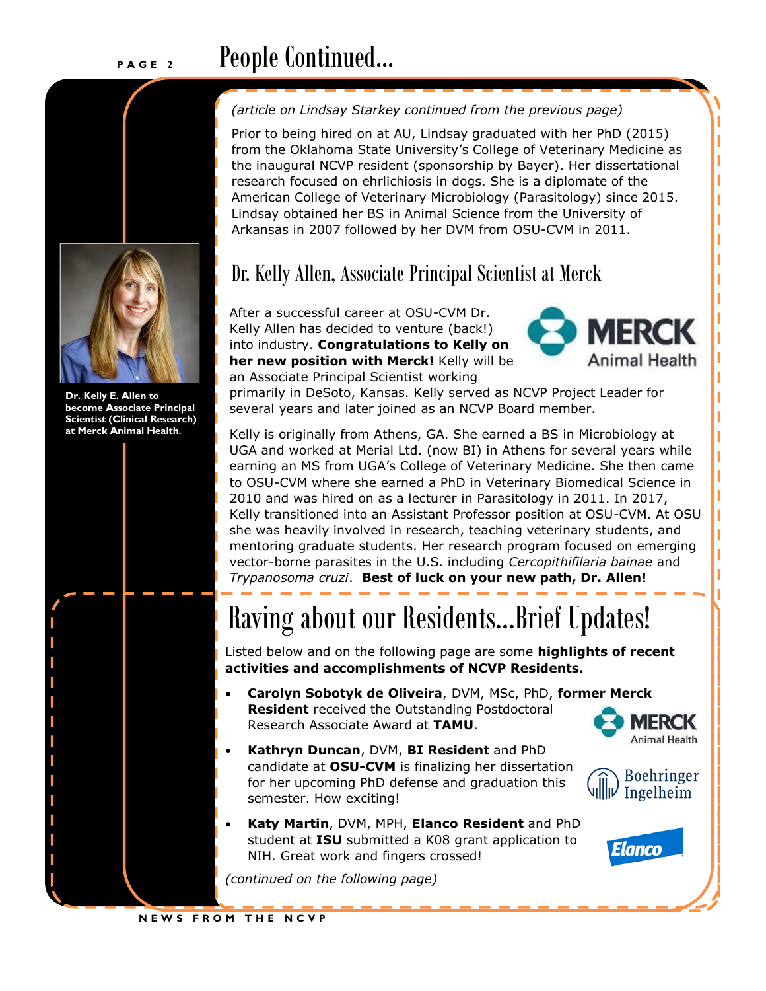## **PROPE People** Continued...



**Dr. Kelly E. Allen to become Associate Principal Scientist (Clinical Research) at Merck Animal Health.**

#### *(article on Lindsay Starkey continued from the previous page)*

Prior to being hired on at AU, Lindsay graduated with her PhD (2015) from the Oklahoma State University's College of Veterinary Medicine as the inaugural NCVP resident (sponsorship by Bayer). Her dissertational research focused on ehrlichiosis in dogs. She is a diplomate of the American College of Veterinary Microbiology (Parasitology) since 2015. Lindsay obtained her BS in Animal Science from the University of Arkansas in 2007 followed by her DVM from OSU-CVM in 2011.

## Dr. Kelly Allen, Associate Principal Scientist at Merck

After a successful career at OSU-CVM Dr. Kelly Allen has decided to venture (back!) into industry. **Congratulations to Kelly on her new position with Merck!** Kelly will be an Associate Principal Scientist working



primarily in DeSoto, Kansas. Kelly served as NCVP Project Leader for several years and later joined as an NCVP Board member.

Kelly is originally from Athens, GA. She earned a BS in Microbiology at UGA and worked at Merial Ltd. (now BI) in Athens for several years while earning an MS from UGA's College of Veterinary Medicine. She then came to OSU-CVM where she earned a PhD in Veterinary Biomedical Science in 2010 and was hired on as a lecturer in Parasitology in 2011. In 2017, Kelly transitioned into an Assistant Professor position at OSU-CVM. At OSU she was heavily involved in research, teaching veterinary students, and mentoring graduate students. Her research program focused on emerging vector-borne parasites in the U.S. including *Cercopithifilaria bainae* and *Trypanosoma cruzi*. **Best of luck on your new path, Dr. Allen!**

# Raving about our Residents...Brief Updates!

Listed below and on the following page are some **highlights of recent activities and accomplishments of NCVP Residents.**

- **Carolyn Sobotyk de Oliveira**, DVM, MSc, PhD, **former Merck Resident** received the Outstanding Postdoctoral Research Associate Award at **TAMU**.
	- **MERCK Animal Health**
- **Kathryn Duncan**, DVM, **BI Resident** and PhD candidate at **OSU-CVM** is finalizing her dissertation for her upcoming PhD defense and graduation this semester. How exciting!
	- **Katy Martin**, DVM, MPH, **Elanco Resident** and PhD student at **ISU** submitted a K08 grant application to NIH. Great work and fingers crossed!

*(continued on the following page)*





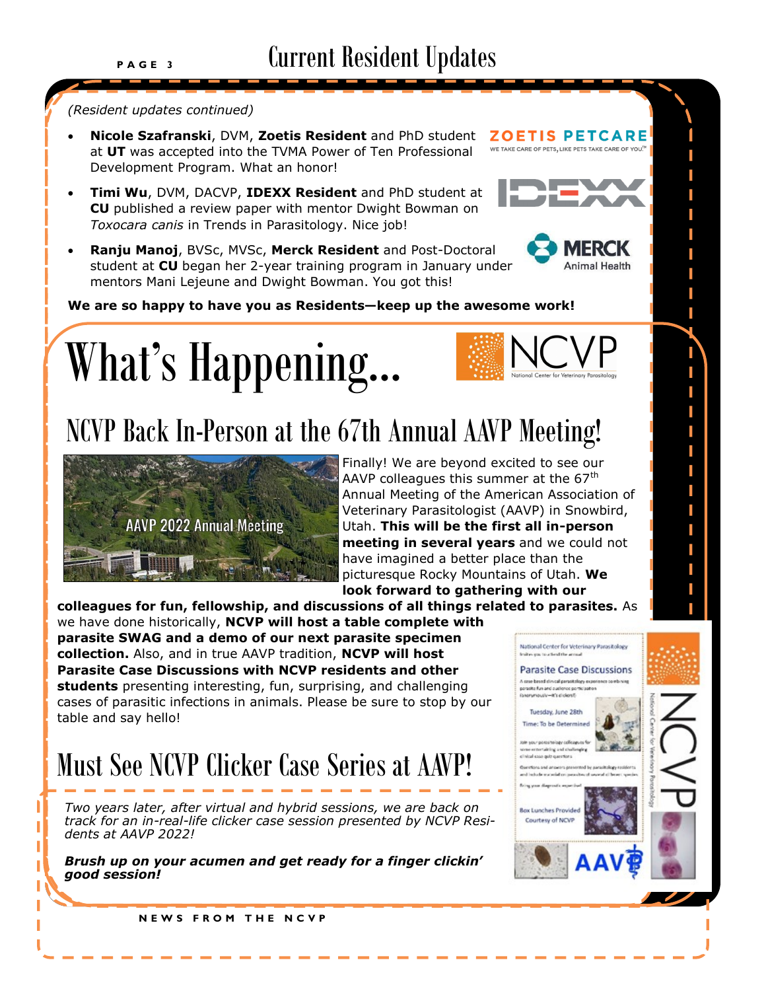#### *(Resident updates continued)*

- **Nicole Szafranski**, DVM, **Zoetis Resident** and PhD student at **UT** was accepted into the TVMA Power of Ten Professional Development Program. What an honor!
- **Timi Wu**, DVM, DACVP, **IDEXX Resident** and PhD student at **CU** published a review paper with mentor Dwight Bowman on *Toxocara canis* in Trends in Parasitology. Nice job!
- **Ranju Manoj**, BVSc, MVSc, **Merck Resident** and Post-Doctoral student at **CU** began her 2-year training program in January under mentors Mani Lejeune and Dwight Bowman. You got this!



**ZOETIS PETCARE** WE TAKE CARE OF PETS, LIKE PETS TAKE CARE OF YOU."

**We are so happy to have you as Residents—keep up the awesome work!**





# NCVP Back In-Person at the 67th Annual AAVP Meeting!



Finally! We are beyond excited to see our AAVP colleagues this summer at the  $67<sup>th</sup>$ Annual Meeting of the American Association of Veterinary Parasitologist (AAVP) in Snowbird, Utah. **This will be the first all in-person meeting in several years** and we could not have imagined a better place than the picturesque Rocky Mountains of Utah. **We look forward to gathering with our** 

**colleagues for fun, fellowship, and discussions of all things related to parasites.** As we have done historically, **NCVP will host a table complete with parasite SWAG and a demo of our next parasite specimen collection.** Also, and in true AAVP tradition, **NCVP will host Parasite Case Discussions with NCVP residents and other**  A crop besed direcal personalopy exper **students** presenting interesting, fun, surprising, and challenging poracita fun and quelence porticipate (anarymously-it's cloiced) cases of parasitic infections in animals. Please be sure to stop by our Tuesday, June 28th table and say hello!

# Must See NCVP Clicker Case Series at AAVP!

*Two years later, after virtual and hybrid sessions, we are back on track for an in-real-life clicker case session presented by NCVP Residents at AAVP 2022!* 

*Brush up on your acumen and get ready for a finger clickin' good session!*



**N E W S F R O M T H E N C V P**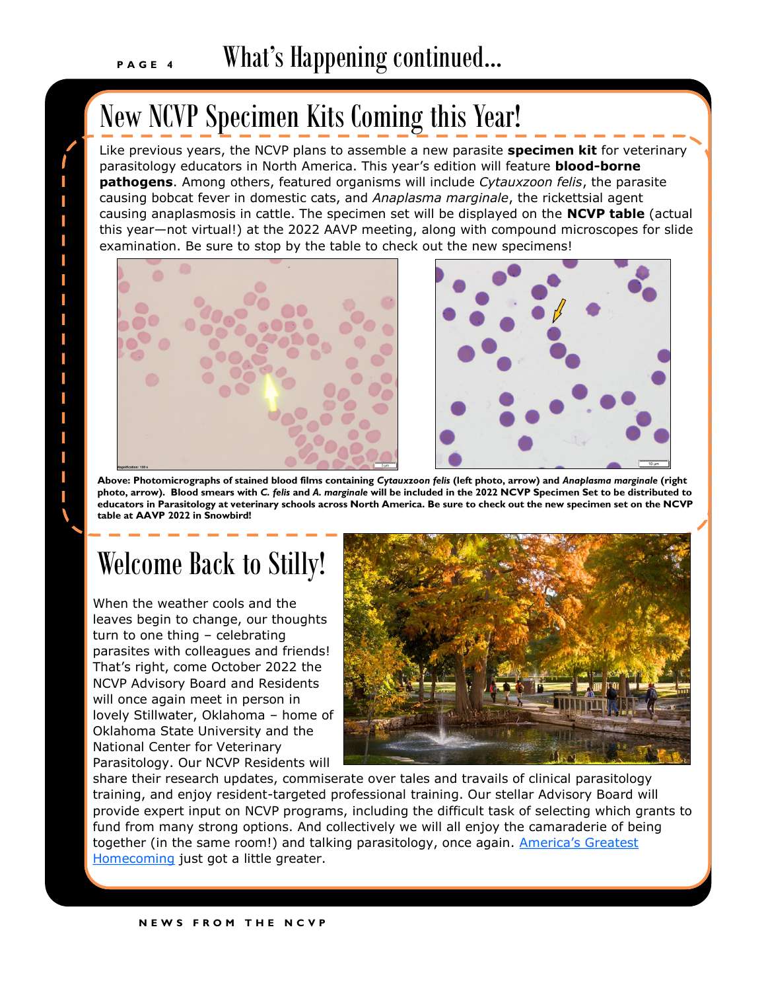T I I Т I Т Т T T I. I. I. I T I Т

## New NCVP Specimen Kits Coming this Year!

Like previous years, the NCVP plans to assemble a new parasite **specimen kit** for veterinary parasitology educators in North America. This year's edition will feature **blood-borne pathogens**. Among others, featured organisms will include *Cytauxzoon felis*, the parasite causing bobcat fever in domestic cats, and *Anaplasma marginale*, the rickettsial agent causing anaplasmosis in cattle. The specimen set will be displayed on the **NCVP table** (actual this year—not virtual!) at the 2022 AAVP meeting, along with compound microscopes for slide examination. Be sure to stop by the table to check out the new specimens!





**Above: Photomicrographs of stained blood films containing** *Cytauxzoon felis* **(left photo, arrow) and** *Anaplasma marginale* **(right photo, arrow). Blood smears with** *C. felis* **and** *A. marginale* **will be included in the 2022 NCVP Specimen Set to be distributed to educators in Parasitology at veterinary schools across North America. Be sure to check out the new specimen set on the NCVP table at AAVP 2022 in Snowbird!**

# Welcome Back to Stilly!

When the weather cools and the leaves begin to change, our thoughts turn to one thing – celebrating parasites with colleagues and friends! That's right, come October 2022 the NCVP Advisory Board and Residents will once again meet in person in lovely Stillwater, Oklahoma – home of Oklahoma State University and the National Center for Veterinary Parasitology. Our NCVP Residents will



share their research updates, commiserate over tales and travails of clinical parasitology training, and enjoy resident-targeted professional training. Our stellar Advisory Board will provide expert input on NCVP programs, including the difficult task of selecting which grants to fund from many strong options. And collectively we will all enjoy the camaraderie of being together (in the same room!) and talking parasitology, once again. America's Greatest [Homecoming](https://video.okstate.edu/media/A+Look+BackA+Homecoming+2019/1_62cyk5dh) just got a little greater.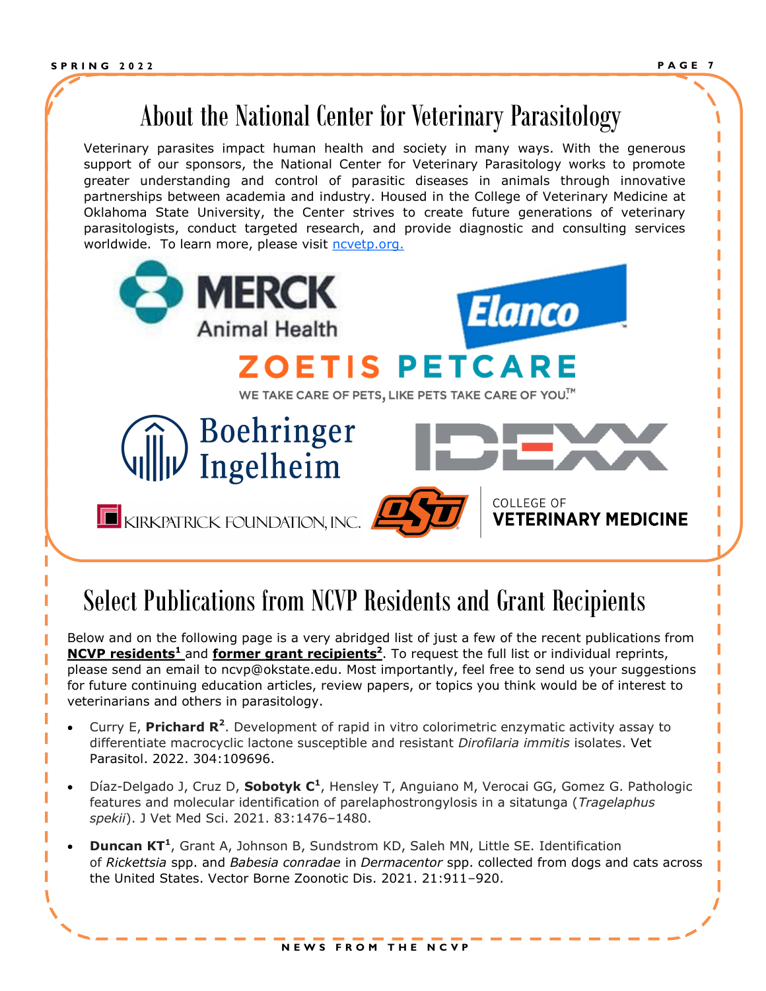## About the National Center for Veterinary Parasitology

Veterinary parasites impact human health and society in many ways. With the generous support of our sponsors, the National Center for Veterinary Parasitology works to promote greater understanding and control of parasitic diseases in animals through innovative partnerships between academia and industry. Housed in the College of Veterinary Medicine at Oklahoma State University, the Center strives to create future generations of veterinary parasitologists, conduct targeted research, and provide diagnostic and consulting services worldwide. To learn more, please visit [ncvetp.org.](https://www.ncvetp.org/)



## incations from NGVP residents and Grant recipients Select Publications from NCVP Residents and Grant Recipients

Below and on the following page is a very abridged list of just a few of the recent publications from **NCVP residents<sup>1</sup>** and **former grant recipients<sup>2</sup>** . To request the full list or individual reprints, please send an email to ncvp@okstate.edu. Most importantly, feel free to send us your suggestions for future continuing education articles, review papers, or topics you think would be of interest to veterinarians and others in parasitology.

- **•** Curry E, Prichard R<sup>2</sup>. Development of rapid in vitro colorimetric enzymatic activity assay to differentiate macrocyclic lactone susceptible and resistant *Dirofilaria immitis* isolates. Vet Parasitol. 2022. 304:109696.
- Díaz-Delgado J, Cruz D, **Sobotyk C<sup>1</sup>**, Hensley T, Anguiano M, Verocai GG, Gomez G. Pathologic features and molecular identification of parelaphostrongylosis in a sitatunga (*Tragelaphus spekii*). J Vet Med Sci. 2021. 83:1476–1480.
- **Duncan KT<sup>1</sup>** , Grant A, Johnson B, Sundstrom KD, Saleh MN, Little SE. Identification of *Rickettsia* spp. and *Babesia conradae* in *Dermacentor* spp. collected from dogs and cats across the United States. Vector Borne Zoonotic Dis. 2021. 21:911–920.